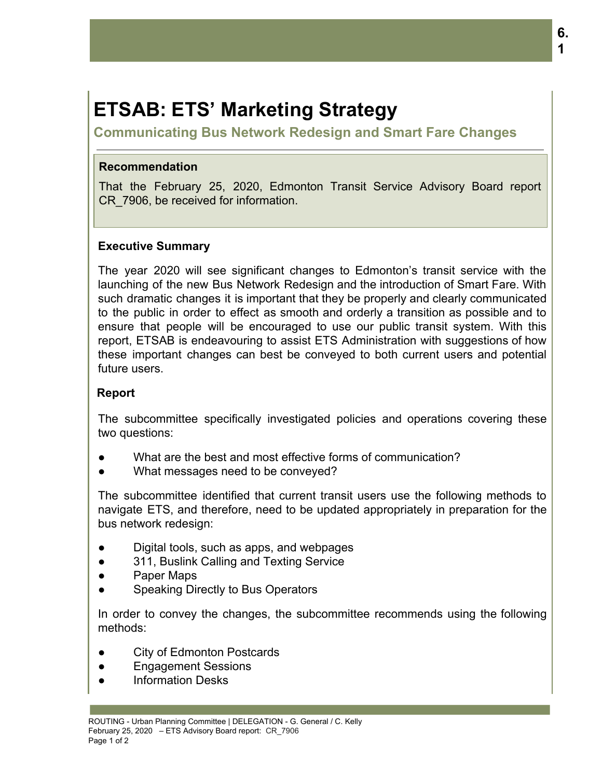# **ETSAB: ETS' Marketing Strategy**

**Communicating Bus Network Redesign and Smart Fare Changes**

### **Recommendation**

That the February 25, 2020, Edmonton Transit Service Advisory Board report CR\_7906, be received for information.

# **Executive Summary**

The year 2020 will see significant changes to Edmonton's transit service with the launching of the new Bus Network Redesign and the introduction of Smart Fare. With such dramatic changes it is important that they be properly and clearly communicated to the public in order to effect as smooth and orderly a transition as possible and to ensure that people will be encouraged to use our public transit system. With this report, ETSAB is endeavouring to assist ETS Administration with suggestions of how these important changes can best be conveyed to both current users and potential future users.

# **Report**

The subcommittee specifically investigated policies and operations covering these two questions:

- What are the best and most effective forms of communication?
- What messages need to be conveyed?

The subcommittee identified that current transit users use the following methods to navigate ETS, and therefore, need to be updated appropriately in preparation for the bus network redesign:

- Digital tools, such as apps, and webpages
- 311, Buslink Calling and Texting Service
- Paper Maps
- Speaking Directly to Bus Operators

In order to convey the changes, the subcommittee recommends using the following methods:

- City of Edmonton Postcards
- Engagement Sessions
- **Information Desks**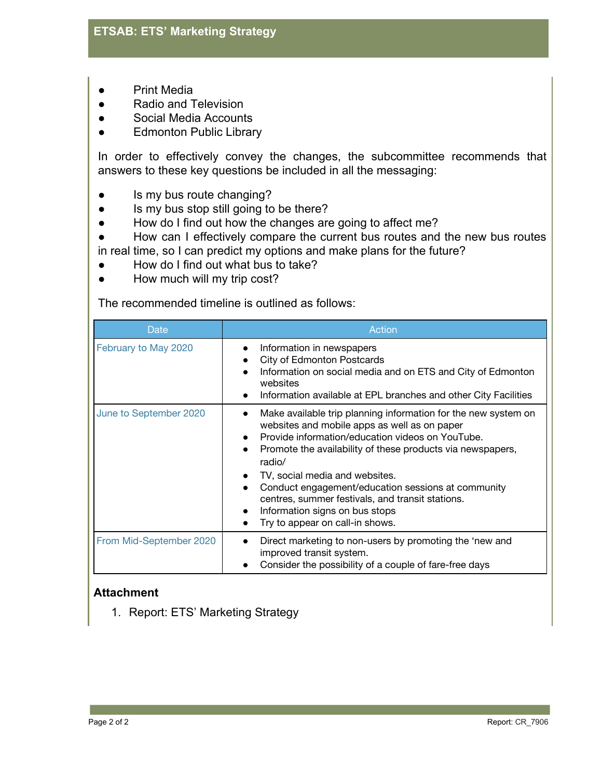- **Print Media**
- Radio and Television
- Social Media Accounts
- **•** Edmonton Public Library

In order to effectively convey the changes, the subcommittee recommends that answers to these key questions be included in all the messaging:

- Is my bus route changing?
- Is my bus stop still going to be there?
- How do I find out how the changes are going to affect me?
- How can I effectively compare the current bus routes and the new bus routes in real time, so I can predict my options and make plans for the future?
- How do I find out what bus to take?
- How much will my trip cost?

The recommended timeline is outlined as follows:

| Date                    | Action                                                                                                                                                                                                                                                                                                                                                                                                                                                                                             |
|-------------------------|----------------------------------------------------------------------------------------------------------------------------------------------------------------------------------------------------------------------------------------------------------------------------------------------------------------------------------------------------------------------------------------------------------------------------------------------------------------------------------------------------|
| February to May 2020    | Information in newspapers<br>$\bullet$<br>City of Edmonton Postcards<br>Information on social media and on ETS and City of Edmonton<br>websites<br>Information available at EPL branches and other City Facilities<br>$\bullet$                                                                                                                                                                                                                                                                    |
| June to September 2020  | Make available trip planning information for the new system on<br>websites and mobile apps as well as on paper<br>Provide information/education videos on YouTube.<br>$\bullet$<br>Promote the availability of these products via newspapers,<br>$\bullet$<br>radio/<br>TV, social media and websites.<br>Conduct engagement/education sessions at community<br>centres, summer festivals, and transit stations.<br>Information signs on bus stops<br>$\bullet$<br>Try to appear on call-in shows. |
| From Mid-September 2020 | Direct marketing to non-users by promoting the 'new and<br>improved transit system.<br>Consider the possibility of a couple of fare-free days                                                                                                                                                                                                                                                                                                                                                      |

#### **Attachment**

1. Report: ETS' Marketing Strategy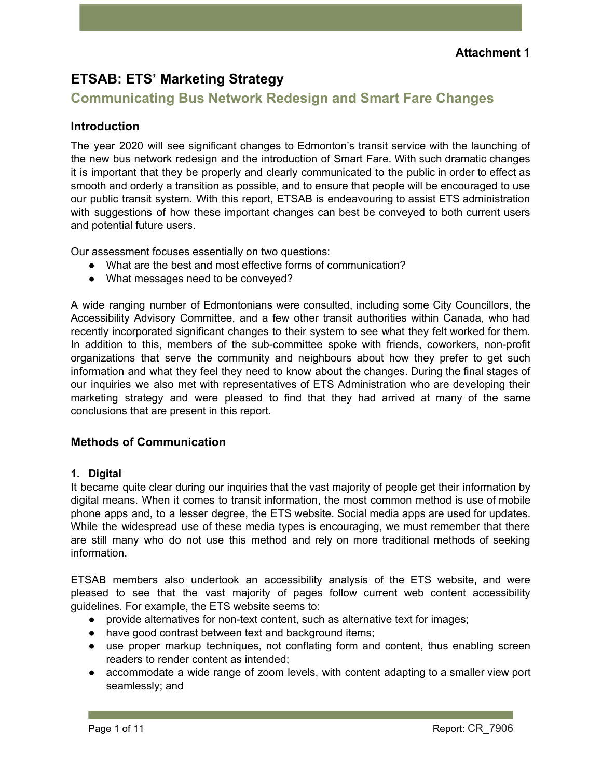# **ETSAB: ETS' Marketing Strategy**

# **Communicating Bus Network Redesign and Smart Fare Changes**

# **Introduction**

The year 2020 will see significant changes to Edmonton's transit service with the launching of the new bus network redesign and the introduction of Smart Fare. With such dramatic changes it is important that they be properly and clearly communicated to the public in order to effect as smooth and orderly a transition as possible, and to ensure that people will be encouraged to use our public transit system. With this report, ETSAB is endeavouring to assist ETS administration with suggestions of how these important changes can best be conveyed to both current users and potential future users.

Our assessment focuses essentially on two questions:

- What are the best and most effective forms of communication?
- What messages need to be conveyed?

A wide ranging number of Edmontonians were consulted, including some City Councillors, the Accessibility Advisory Committee, and a few other transit authorities within Canada, who had recently incorporated significant changes to their system to see what they felt worked for them. In addition to this, members of the sub-committee spoke with friends, coworkers, non-profit organizations that serve the community and neighbours about how they prefer to get such information and what they feel they need to know about the changes. During the final stages of our inquiries we also met with representatives of ETS Administration who are developing their marketing strategy and were pleased to find that they had arrived at many of the same conclusions that are present in this report.

#### **Methods of Communication**

#### **1. Digital**

It became quite clear during our inquiries that the vast majority of people get their information by digital means. When it comes to transit information, the most common method is use of mobile phone apps and, to a lesser degree, the ETS website. Social media apps are used for updates. While the widespread use of these media types is encouraging, we must remember that there are still many who do not use this method and rely on more traditional methods of seeking information.

ETSAB members also undertook an accessibility analysis of the ETS website, and were pleased to see that the vast majority of pages follow current web content accessibility guidelines. For example, the ETS website seems to:

- provide alternatives for non-text content, such as alternative text for images;
- have good contrast between text and background items;
- use proper markup techniques, not conflating form and content, thus enabling screen readers to render content as intended;
- accommodate a wide range of zoom levels, with content adapting to a smaller view port seamlessly; and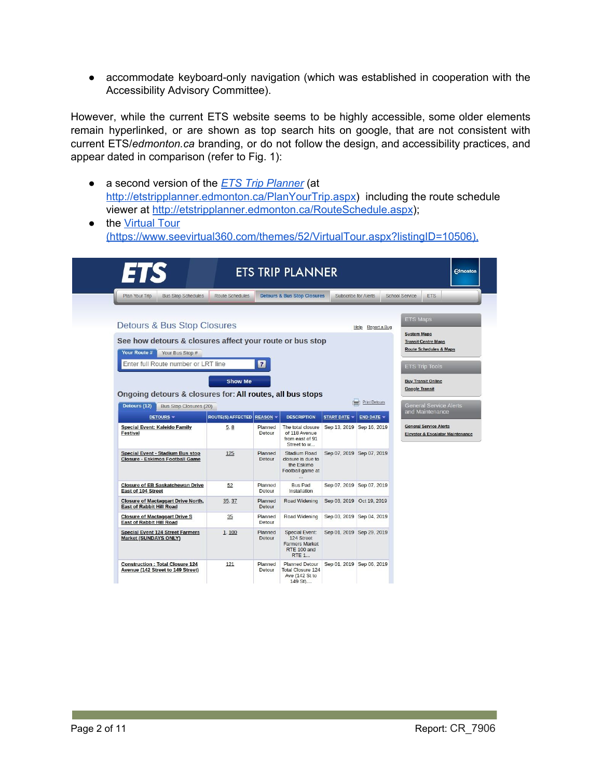● accommodate keyboard-only navigation (which was established in cooperation with the Accessibility Advisory Committee).

However, while the current ETS website seems to be highly accessible, some older elements remain hyperlinked, or are shown as top search hits on google, that are not consistent with current ETS/*edmonton.ca* branding, or do not follow the design, and accessibility practices, and appear dated in comparison (refer to Fig. 1):

- a second version of the *ETS Trip [Planner](http://etstripplanner.edmonton.ca/RouteSchedule.aspx)* (at <http://etstripplanner.edmonton.ca/PlanYourTrip.aspx>) including the route schedule viewer at <http://etstripplanner.edmonton.ca/RouteSchedule.aspx>);
- the [Virtual](https://www.seevirtual360.com/themes/52/VirtualTour.aspx?listingID=10506) Tour [\(https://www.seevirtual360.com/themes/52/VirtualTour.aspx?listingID=10506\),](https://www.seevirtual360.com/themes/52/VirtualTour.aspx?listingID=10506)

| l = 1<br>IS                                                                                                |                          |                         | <b>ETS TRIP PLANNER</b>                                                                     |                           |                             |                       | <b>Edmonton</b>                                                              |
|------------------------------------------------------------------------------------------------------------|--------------------------|-------------------------|---------------------------------------------------------------------------------------------|---------------------------|-----------------------------|-----------------------|------------------------------------------------------------------------------|
| <b>Bus Stop Schedules</b><br>Plan Your Trip                                                                | Route Schedules          |                         | <b>Detours &amp; Bus Stop Closures</b>                                                      |                           | <b>Subscribe for Alerts</b> | <b>School Service</b> | <b>ETS</b>                                                                   |
| Detours & Bus Stop Closures                                                                                |                          |                         |                                                                                             |                           | Report a Bug<br>$He$ l $p$  | <b>ETS Maps</b>       |                                                                              |
| See how detours & closures affect your route or bus stop<br>Your Route #<br>Your Bus Stop #                |                          |                         |                                                                                             |                           |                             | <b>System Maps</b>    | <b>Transit Centre Maps</b><br><b>Route Schedules &amp; Maps</b>              |
| Enter full Route number or LRT line                                                                        |                          | $\overline{\mathbf{r}}$ |                                                                                             |                           |                             |                       | <b>ETS Trip Tools</b>                                                        |
| Ongoing detours & closures for: All routes, all bus stops<br>Detours (12)<br><b>Bus Stop Closures (20)</b> |                          |                         |                                                                                             |                           | <b>Print Detours</b>        | <b>Google Transit</b> | <b>General Service Alerts</b><br>and Maintenance                             |
| <b>DETOURS -</b>                                                                                           | <b>ROUTE(S) AFFECTED</b> | <b>REASON -</b>         | <b>DESCRIPTION</b>                                                                          | <b>START DATE *</b>       | <b>END DATE +</b>           |                       |                                                                              |
| <b>Special Event: Kaleido Family</b><br><b>Festival</b>                                                    | 5.8                      | Planned<br>Detour       | The total closure<br>of 118 Avenue<br>from east of 91<br>Street to w                        | Sep 13, 2019 Sep 16, 2019 |                             |                       | <b>General Service Alerts</b><br><b>Elevator &amp; Escalator Maintenance</b> |
| <b>Special Event - Stadium Bus stop</b><br><b>Closure - Eskimos Football Game</b>                          | 125                      | Planned<br>Detour       | <b>Stadium Road</b><br>closure is due to<br>the Eskimo                                      | Sep 07, 2019 Sep 07, 2019 |                             |                       |                                                                              |
|                                                                                                            |                          |                         | Football game at<br>$\mathcal{L}_{\text{max}}$                                              |                           |                             |                       |                                                                              |
| <b>Closure of EB Saskatchewan Drive</b><br><b>East of 104 Street</b>                                       | 52                       | Planned<br>Detour       | <b>Bus Pad</b><br>Installation                                                              |                           | Sep 07, 2019 Sep 07, 2019   |                       |                                                                              |
| <b>Closure of Mactaggart Drive North,</b><br><b>East of Rabbit Hill Road</b>                               | 35, 37                   | Planned<br>Detour       | <b>Road Widening</b>                                                                        | Sep 03, 2019 Oct 19, 2019 |                             |                       |                                                                              |
| <b>Closure of Mactaggart Drive S</b><br><b>East of Rabbit Hill Road</b>                                    | 35                       | Planned<br>Detour       | Road Widening                                                                               | Sep 03, 2019 Sep 04, 2019 |                             |                       |                                                                              |
| <b>Special Event 124 Street Farmers</b><br><b>Market (SUNDAYS ONLY)</b>                                    | 1,100                    | Planned<br>Detour       | <b>Special Event:</b><br>124 Street<br><b>Farmers Market</b><br>RTE 100 and<br><b>RTE 1</b> | Sep 01, 2019 Sep 29, 2019 |                             |                       |                                                                              |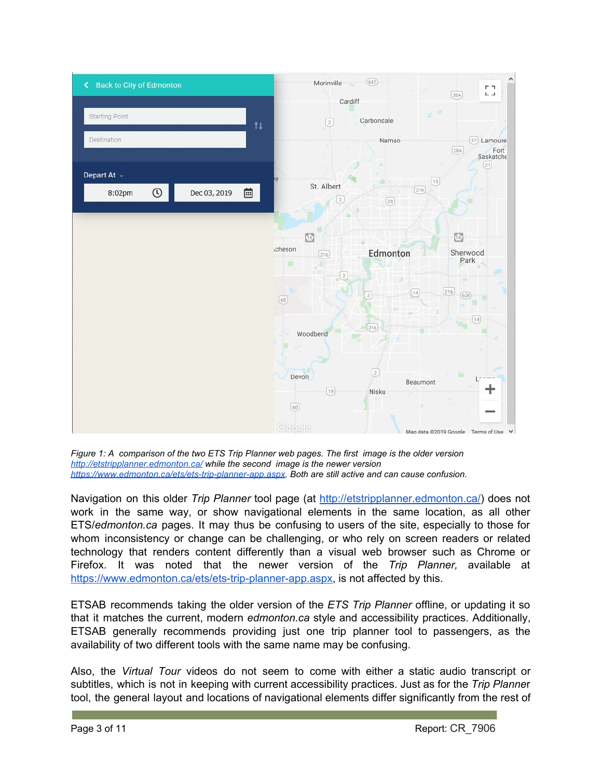

*Figure 1: A comparison of the two ETS Trip Planner web pages. The first image is the older version <http://etstripplanner.edmonton.ca/> while the second image is the newer version <https://www.edmonton.ca/ets/ets-trip-planner-app.aspx>. Both are still active and can cause confusion.*

Navigation on this older *Trip Planner* tool page (at [http://etstripplanner.edmonton.ca/\)](http://etstripplanner.edmonton.ca/) does not work in the same way, or show navigational elements in the same location, as all other ETS/*edmonton.ca* pages. It may thus be confusing to users of the site, especially to those for whom inconsistency or change can be challenging, or who rely on screen readers or related technology that renders content differently than a visual web browser such as Chrome or Firefox. It was noted that the newer version of the *Trip Planner,* available at <https://www.edmonton.ca/ets/ets-trip-planner-app.aspx>, is not affected by this.

ETSAB recommends taking the older version of the *ETS Trip Planner* offline, or updating it so that it matches the current, modern *edmonton.ca* style and accessibility practices. Additionally, ETSAB generally recommends providing just one trip planner tool to passengers, as the availability of two different tools with the same name may be confusing.

Also, the *Virtual Tour* videos do not seem to come with either a static audio transcript or subtitles, which is not in keeping with current accessibility practices. Just as for the *Trip Planne*r tool, the general layout and locations of navigational elements differ significantly from the rest of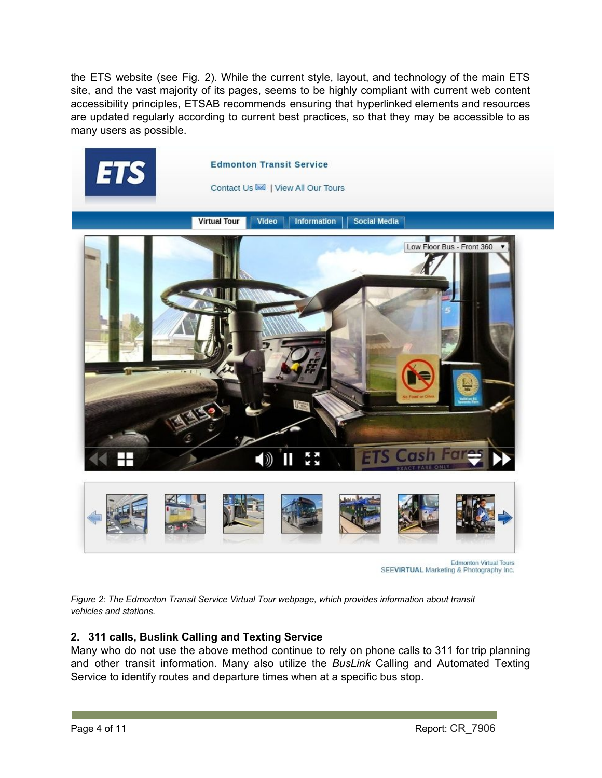the ETS website (see Fig. 2). While the current style, layout, and technology of the main ETS site, and the vast majority of its pages, seems to be highly compliant with current web content accessibility principles, ETSAB recommends ensuring that hyperlinked elements and resources are updated regularly according to current best practices, so that they may be accessible to as many users as possible.



**Edmonton Virtual Tours** SEEVIRTUAL Marketing & Photography Inc.

*Figure 2: The Edmonton Transit Service Virtual Tour webpage, which provides information about transit vehicles and stations.*

#### **2. 311 calls, Buslink Calling and Texting Service**

Many who do not use the above method continue to rely on phone calls to 311 for trip planning and other transit information. Many also utilize the *BusLink* Calling and Automated Texting Service to identify routes and departure times when at a specific bus stop.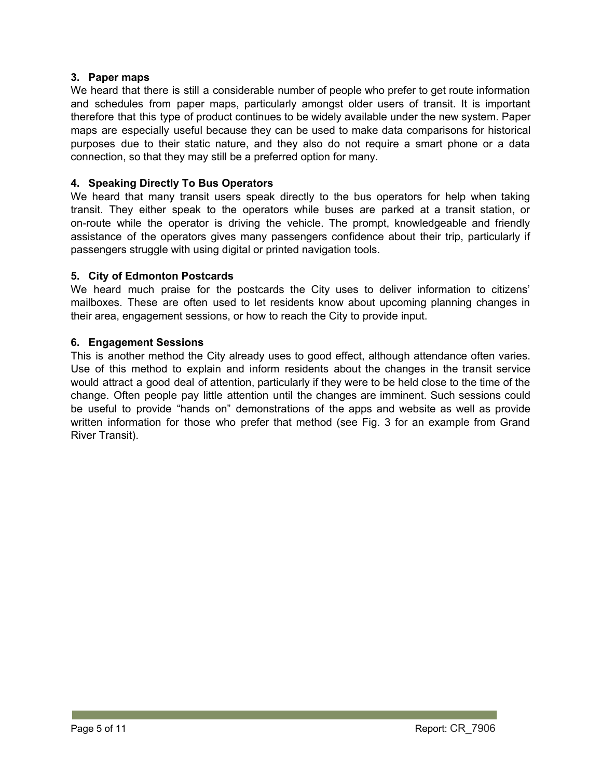#### **3. Paper maps**

We heard that there is still a considerable number of people who prefer to get route information and schedules from paper maps, particularly amongst older users of transit. It is important therefore that this type of product continues to be widely available under the new system. Paper maps are especially useful because they can be used to make data comparisons for historical purposes due to their static nature, and they also do not require a smart phone or a data connection, so that they may still be a preferred option for many.

#### **4. Speaking Directly To Bus Operators**

We heard that many transit users speak directly to the bus operators for help when taking transit. They either speak to the operators while buses are parked at a transit station, or on-route while the operator is driving the vehicle. The prompt, knowledgeable and friendly assistance of the operators gives many passengers confidence about their trip, particularly if passengers struggle with using digital or printed navigation tools.

#### **5. City of Edmonton Postcards**

We heard much praise for the postcards the City uses to deliver information to citizens' mailboxes. These are often used to let residents know about upcoming planning changes in their area, engagement sessions, or how to reach the City to provide input.

#### **6. Engagement Sessions**

This is another method the City already uses to good effect, although attendance often varies. Use of this method to explain and inform residents about the changes in the transit service would attract a good deal of attention, particularly if they were to be held close to the time of the change. Often people pay little attention until the changes are imminent. Such sessions could be useful to provide "hands on" demonstrations of the apps and website as well as provide written information for those who prefer that method (see Fig. 3 for an example from Grand River Transit).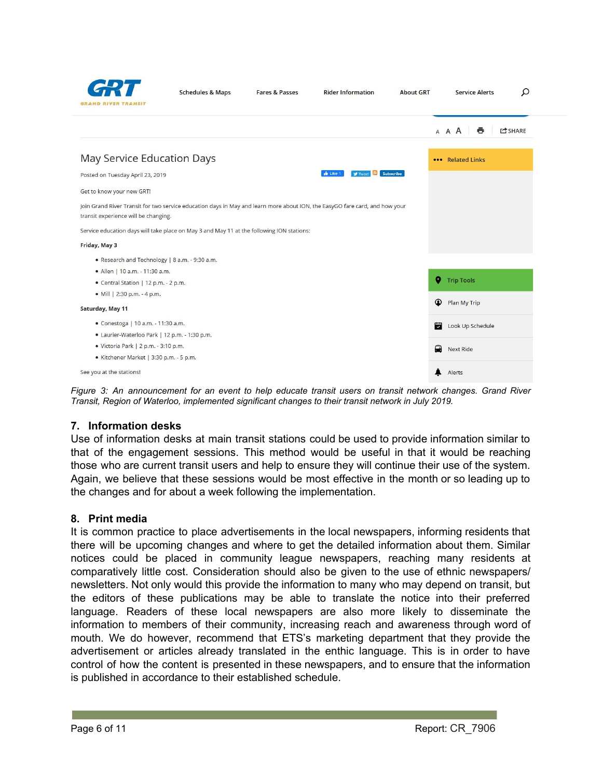

| <b>Schedules &amp; Maps</b> | Fa |
|-----------------------------|----|
|                             |    |

**About GRT** 

Q

|                                                                                                                                                                     | ē<br>A A A<br><b>C</b> SHARE |
|---------------------------------------------------------------------------------------------------------------------------------------------------------------------|------------------------------|
| May Service Education Days                                                                                                                                          | ••• Related Links            |
| Tweet <b>N</b> Subscribe<br><b>In</b> Like 1<br>Posted on Tuesday April 23, 2019                                                                                    |                              |
| Get to know your new GRT!                                                                                                                                           |                              |
| Join Grand River Transit for two service education days in May and learn more about ION, the EasyGO fare card, and how your<br>transit experience will be changing. |                              |
| Service education days will take place on May 3 and May 11 at the following ION stations:                                                                           |                              |
| Friday, May 3                                                                                                                                                       |                              |
| . Research and Technology   8 a.m. - 9:30 a.m.                                                                                                                      |                              |
| • Allen   10 a.m. - 11:30 a.m.                                                                                                                                      |                              |
| • Central Station   12 p.m. - 2 p.m.                                                                                                                                | 9<br><b>Trip Tools</b>       |
| • Mill   2:30 p.m. - 4 p.m.                                                                                                                                         |                              |
| Saturday, May 11                                                                                                                                                    | ⊙<br>Plan My Trip            |
| • Conestoga   10 a.m. - 11:30 a.m.                                                                                                                                  | a<br>Look Up Schedule        |
| · Laurier-Waterloo Park   12 p.m. - 1:30 p.m.                                                                                                                       |                              |
| · Victoria Park   2 p.m. - 3:10 p.m.                                                                                                                                | ≘<br><b>Next Ride</b>        |
| · Kitchener Market   3:30 p.m. - 5 p.m.                                                                                                                             |                              |
| See you at the stations!                                                                                                                                            | Alerts                       |

Figure 3: An announcement for an event to help educate transit users on transit network changes. Grand River *Transit, Region of Waterloo, implemented significant changes to their transit network in July 2019.*

#### **7. Information desks**

Use of information desks at main transit stations could be used to provide information similar to that of the engagement sessions. This method would be useful in that it would be reaching those who are current transit users and help to ensure they will continue their use of the system. Again, we believe that these sessions would be most effective in the month or so leading up to the changes and for about a week following the implementation.

#### **8. Print media**

It is common practice to place advertisements in the local newspapers, informing residents that there will be upcoming changes and where to get the detailed information about them. Similar notices could be placed in community league newspapers, reaching many residents at comparatively little cost. Consideration should also be given to the use of ethnic newspapers/ newsletters. Not only would this provide the information to many who may depend on transit, but the editors of these publications may be able to translate the notice into their preferred language. Readers of these local newspapers are also more likely to disseminate the information to members of their community, increasing reach and awareness through word of mouth. We do however, recommend that ETS's marketing department that they provide the advertisement or articles already translated in the enthic language. This is in order to have control of how the content is presented in these newspapers, and to ensure that the information is published in accordance to their established schedule.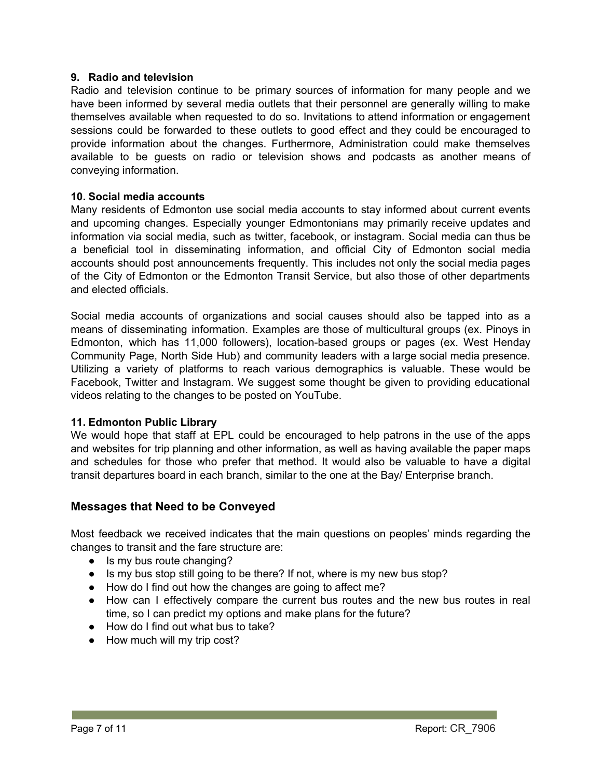#### **9. Radio and television**

Radio and television continue to be primary sources of information for many people and we have been informed by several media outlets that their personnel are generally willing to make themselves available when requested to do so. Invitations to attend information or engagement sessions could be forwarded to these outlets to good effect and they could be encouraged to provide information about the changes. Furthermore, Administration could make themselves available to be guests on radio or television shows and podcasts as another means of conveying information.

#### **10. Social media accounts**

Many residents of Edmonton use social media accounts to stay informed about current events and upcoming changes. Especially younger Edmontonians may primarily receive updates and information via social media, such as twitter, facebook, or instagram. Social media can thus be a beneficial tool in disseminating information, and official City of Edmonton social media accounts should post announcements frequently. This includes not only the social media pages of the City of Edmonton or the Edmonton Transit Service, but also those of other departments and elected officials.

Social media accounts of organizations and social causes should also be tapped into as a means of disseminating information. Examples are those of multicultural groups (ex. Pinoys in Edmonton, which has 11,000 followers), location-based groups or pages (ex. West Henday Community Page, North Side Hub) and community leaders with a large social media presence. Utilizing a variety of platforms to reach various demographics is valuable. These would be Facebook, Twitter and Instagram. We suggest some thought be given to providing educational videos relating to the changes to be posted on YouTube.

#### **11. Edmonton Public Library**

We would hope that staff at EPL could be encouraged to help patrons in the use of the apps and websites for trip planning and other information, as well as having available the paper maps and schedules for those who prefer that method. It would also be valuable to have a digital transit departures board in each branch, similar to the one at the Bay/ Enterprise branch.

#### **Messages that Need to be Conveyed**

Most feedback we received indicates that the main questions on peoples' minds regarding the changes to transit and the fare structure are:

- Is my bus route changing?
- Is my bus stop still going to be there? If not, where is my new bus stop?
- How do I find out how the changes are going to affect me?
- How can I effectively compare the current bus routes and the new bus routes in real time, so I can predict my options and make plans for the future?
- How do I find out what bus to take?
- How much will my trip cost?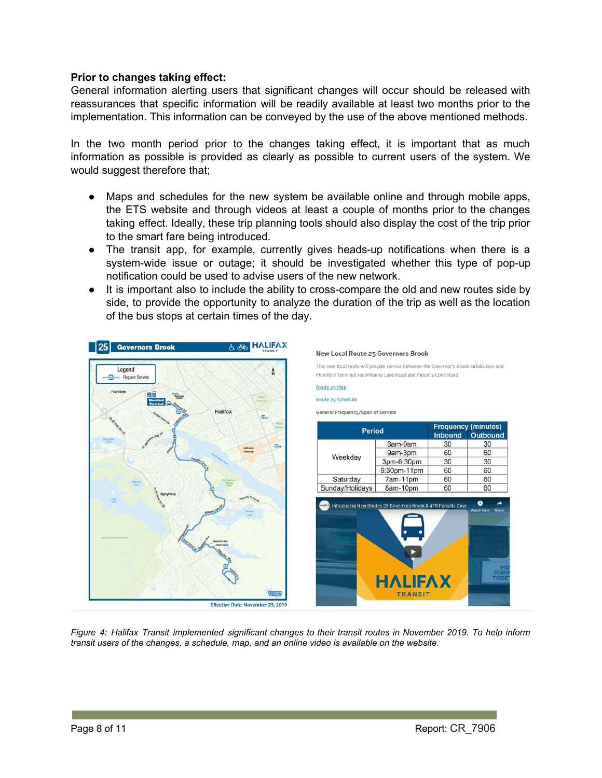#### **Prior to changes taking effect:**

General information alerting users that significant changes will occur should be released with reassurances that specific information will be readily available at least two months prior to the implementation. This information can be conveyed by the use of the above mentioned methods.

In the two month period prior to the changes taking effect, it is important that as much information as possible is provided as clearly as possible to current users of the system. We would suggest therefore that;

- Maps and schedules for the new system be available online and through mobile apps, the ETS website and through videos at least a couple of months prior to the changes taking effect. Ideally, these trip planning tools should also display the cost of the trip prior to the smart fare being introduced.
- The transit app, for example, currently gives heads-up notifications when there is a system-wide issue or outage; it should be investigated whether this type of pop-up notification could be used to advise users of the new network.
- It is important also to include the ability to cross-compare the old and new routes side by side, to provide the opportunity to analyze the duration of the trip as well as the location of the bus stops at certain times of the day.



Figure 4: Halifax Transit implemented significant changes to their transit routes in November 2019. To help inform *transit users of the changes, a schedule, map, and an online video is available on the website.*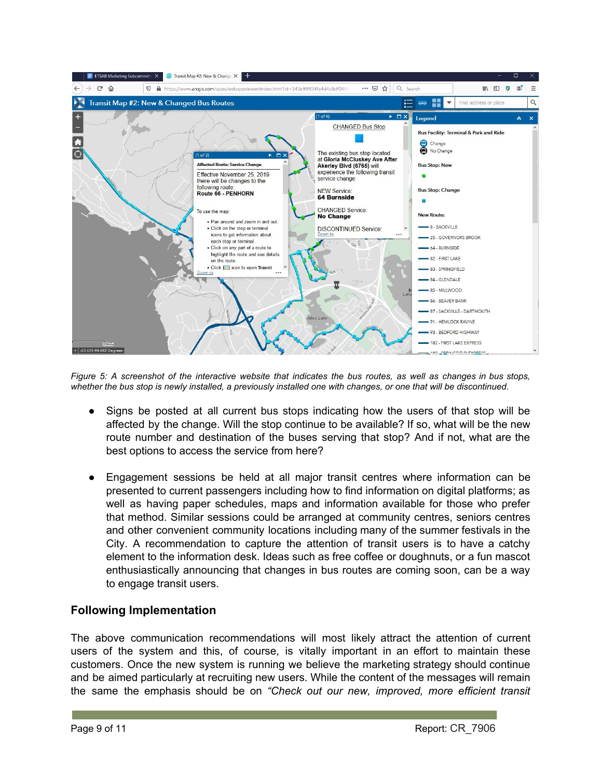

Figure 5: A screenshot of the interactive website that indicates the bus routes, as well as changes in bus stops, *whether the bus stop is newly installed, a previously installed one with changes, or one that will be discontinued.*

- Signs be posted at all current bus stops indicating how the users of that stop will be affected by the change. Will the stop continue to be available? If so, what will be the new route number and destination of the buses serving that stop? And if not, what are the best options to access the service from here?
- Engagement sessions be held at all major transit centres where information can be presented to current passengers including how to find information on digital platforms; as well as having paper schedules, maps and information available for those who prefer that method. Similar sessions could be arranged at community centres, seniors centres and other convenient community locations including many of the summer festivals in the City. A recommendation to capture the attention of transit users is to have a catchy element to the information desk. Ideas such as free coffee or doughnuts, or a fun mascot enthusiastically announcing that changes in bus routes are coming soon, can be a way to engage transit users.

#### **Following Implementation**

The above communication recommendations will most likely attract the attention of current users of the system and this, of course, is vitally important in an effort to maintain these customers. Once the new system is running we believe the marketing strategy should continue and be aimed particularly at recruiting new users. While the content of the messages will remain the same the emphasis should be on *"Check out our new, improved, more efficient transit*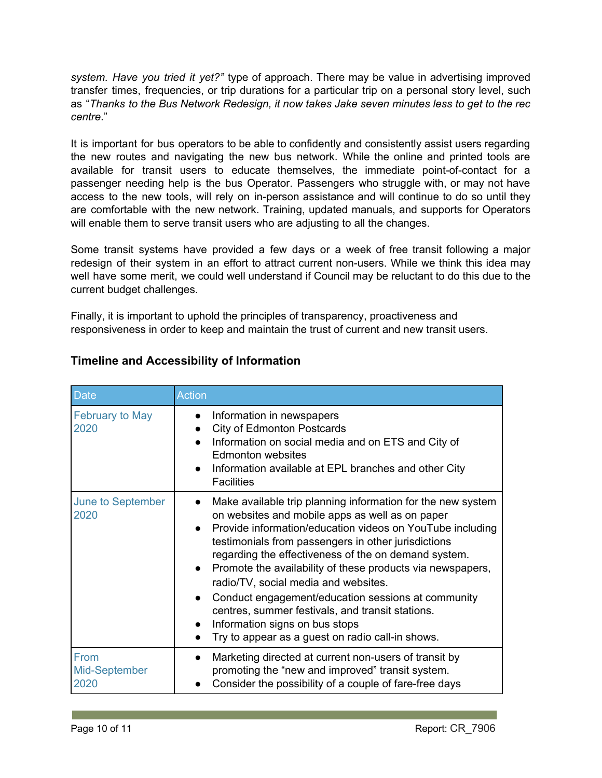*system. Have you tried it yet?"* type of approach. There may be value in advertising improved transfer times, frequencies, or trip durations for a particular trip on a personal story level, such as "*Thanks to the Bus Network Redesign, it now takes Jake seven minutes less to get to the rec centre*."

It is important for bus operators to be able to confidently and consistently assist users regarding the new routes and navigating the new bus network. While the online and printed tools are available for transit users to educate themselves, the immediate point-of-contact for a passenger needing help is the bus Operator. Passengers who struggle with, or may not have access to the new tools, will rely on in-person assistance and will continue to do so until they are comfortable with the new network. Training, updated manuals, and supports for Operators will enable them to serve transit users who are adjusting to all the changes.

Some transit systems have provided a few days or a week of free transit following a major redesign of their system in an effort to attract current non-users. While we think this idea may well have some merit, we could well understand if Council may be reluctant to do this due to the current budget challenges.

Finally, it is important to uphold the principles of transparency, proactiveness and responsiveness in order to keep and maintain the trust of current and new transit users.

| <b>Date</b>                          | <b>Action</b>                                                                                                                                                                                                                                                                                                                                                                                                                                                                                                                                                                                                                                        |
|--------------------------------------|------------------------------------------------------------------------------------------------------------------------------------------------------------------------------------------------------------------------------------------------------------------------------------------------------------------------------------------------------------------------------------------------------------------------------------------------------------------------------------------------------------------------------------------------------------------------------------------------------------------------------------------------------|
| February to May<br>2020              | Information in newspapers<br>$\bullet$<br><b>City of Edmonton Postcards</b><br>$\bullet$<br>Information on social media and on ETS and City of<br><b>Edmonton websites</b><br>Information available at EPL branches and other City<br>$\bullet$<br><b>Facilities</b>                                                                                                                                                                                                                                                                                                                                                                                 |
| June to September<br>2020            | Make available trip planning information for the new system<br>$\bullet$<br>on websites and mobile apps as well as on paper<br>Provide information/education videos on YouTube including<br>testimonials from passengers in other jurisdictions<br>regarding the effectiveness of the on demand system.<br>Promote the availability of these products via newspapers,<br>$\bullet$<br>radio/TV, social media and websites.<br>Conduct engagement/education sessions at community<br>$\bullet$<br>centres, summer festivals, and transit stations.<br>Information signs on bus stops<br>Try to appear as a guest on radio call-in shows.<br>$\bullet$ |
| <b>From</b><br>Mid-September<br>2020 | Marketing directed at current non-users of transit by<br>promoting the "new and improved" transit system.<br>Consider the possibility of a couple of fare-free days<br>$\bullet$                                                                                                                                                                                                                                                                                                                                                                                                                                                                     |

# **Timeline and Accessibility of Information**